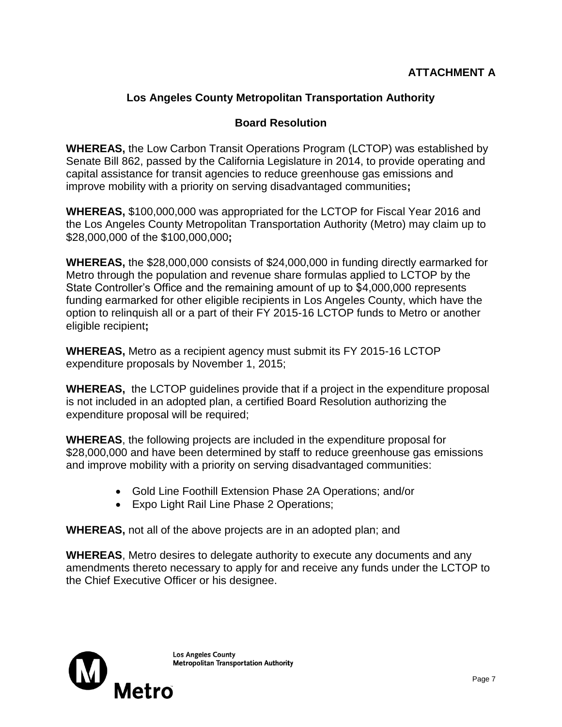## **Los Angeles County Metropolitan Transportation Authority**

## **Board Resolution**

**WHEREAS,** the Low Carbon Transit Operations Program (LCTOP) was established by Senate Bill 862, passed by the California Legislature in 2014, to provide operating and capital assistance for transit agencies to reduce greenhouse gas emissions and improve mobility with a priority on serving disadvantaged communities**;**

**WHEREAS,** \$100,000,000 was appropriated for the LCTOP for Fiscal Year 2016 and the Los Angeles County Metropolitan Transportation Authority (Metro) may claim up to \$28,000,000 of the \$100,000,000**;**

**WHEREAS,** the \$28,000,000 consists of \$24,000,000 in funding directly earmarked for Metro through the population and revenue share formulas applied to LCTOP by the State Controller's Office and the remaining amount of up to \$4,000,000 represents funding earmarked for other eligible recipients in Los Angeles County, which have the option to relinquish all or a part of their FY 2015-16 LCTOP funds to Metro or another eligible recipient**;**

**WHEREAS,** Metro as a recipient agency must submit its FY 2015-16 LCTOP expenditure proposals by November 1, 2015;

**WHEREAS,** the LCTOP guidelines provide that if a project in the expenditure proposal is not included in an adopted plan, a certified Board Resolution authorizing the expenditure proposal will be required;

**WHEREAS**, the following projects are included in the expenditure proposal for \$28,000,000 and have been determined by staff to reduce greenhouse gas emissions and improve mobility with a priority on serving disadvantaged communities:

- Gold Line Foothill Extension Phase 2A Operations; and/or
- Expo Light Rail Line Phase 2 Operations;

**WHEREAS,** not all of the above projects are in an adopted plan; and

**WHEREAS**, Metro desires to delegate authority to execute any documents and any amendments thereto necessary to apply for and receive any funds under the LCTOP to the Chief Executive Officer or his designee.

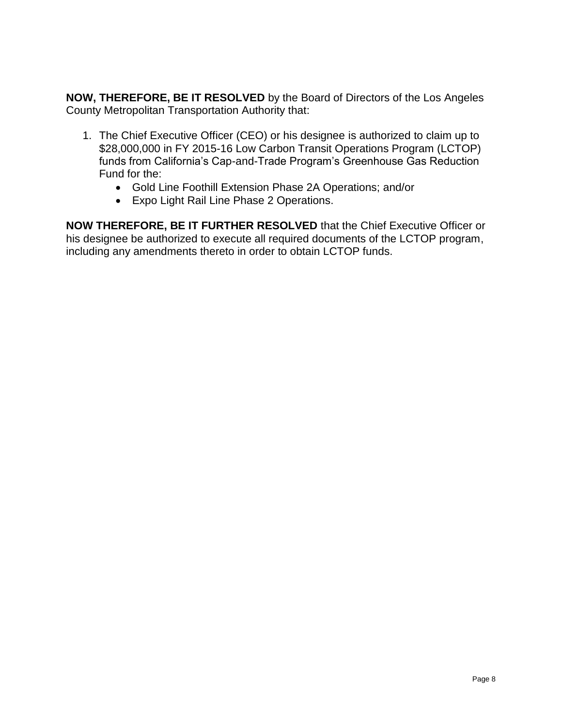**NOW, THEREFORE, BE IT RESOLVED** by the Board of Directors of the Los Angeles County Metropolitan Transportation Authority that:

- 1. The Chief Executive Officer (CEO) or his designee is authorized to claim up to \$28,000,000 in FY 2015-16 Low Carbon Transit Operations Program (LCTOP) funds from California's Cap-and-Trade Program's Greenhouse Gas Reduction Fund for the:
	- Gold Line Foothill Extension Phase 2A Operations; and/or
	- Expo Light Rail Line Phase 2 Operations.

**NOW THEREFORE, BE IT FURTHER RESOLVED** that the Chief Executive Officer or his designee be authorized to execute all required documents of the LCTOP program, including any amendments thereto in order to obtain LCTOP funds.